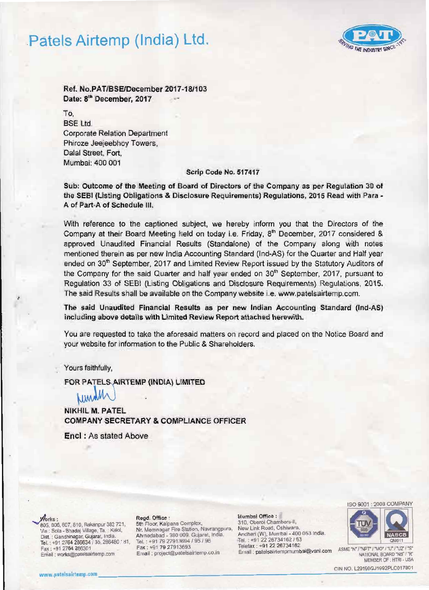## Patels Airtemp (India) Ltd.



Ref. NO.PATIBSElDeeember 2017·181103 Date: 8<sup>th</sup> December, 2017

To, BSE Ltd. Corporate Relation Department Phiroze Jeejeebhoy Towers, Dalal Street, Fort, Mumbai: 400 001

### Scrip Code No. 517417

Sub: Outcome of the Meeting of Board of Directors of the Company as per Regulation 30 of the SEBI (Listing Obligations & Disclosure Requirements) Regulations, 2015 Read with Para -A of Part-A of Schedule III.

With reference to the captioned subject, we hereby inform you that the Directors of the Company at their Board Meeting held on today i.e. Friday, 8<sup>th</sup> December, 2017 considered & approved Unaudited Financial Results (Standalone) of the Company along with notes mentioned therein as per new India Accounting Standard (Ind-AS) for the Quarter and Half year ended on 30<sup>th</sup> September, 2017 and Limited Review Report issued by the Statutory Auditors of the Company for the said Quarter and half year ended on 30<sup>th</sup> September, 2017, pursuant to Regulation 33 of SEBI (Listing Obligations and Disclosure Requirements) Regulations, 2015. The said Results shall be available on the Company website i.e. www.patelsairtemp.com.

The said Unaudited Financial Results as per new Indian Accounting Standard (Ind-AS) including above details with Limited Review Report attached herewith.

You are requested to take the aforesaid matters on record and placed on the Notice Board and your website for information to the Public & Shareholders.

Yours faithfully,

FOR PATELS AIRTEMP (INDIA) LIMITED

NIKHIL M. PATEL COMPANY SECRETARY & COMPLIANCE OFFICER

Enel : As stated Above

Ragd Mumbal Office : ., . OfficI : 805, 806, 807, 810, Rakanpur 382 721, 5th Floor, Kalpana Complex,<br>Via : Sola - Bhadai Village, Ta. : Kalol. N. Mernnagar Fire Station, Navrangpura, Via : Sola - Bhadaj Village, Ta, : Kalol. Nr. Memnagar Fire Station, Navrangpul<br>Dist. : Gandhinagar, Gujarat, India. Ahmedabad - 380 009. Gujarat, India. Ahmedabad· Andheri (W). Mumbat - 400 053 tndia . Oist 380 009 Gularat. India. . Gandhinagar. Gujaral. IrxIa. Tel. .•912226734162 ( <sup>63</sup> Tel. +91 2764 266634 135. 2Il60'80 181 , Tel. : +91 79 27913694 195 <sup>196</sup>Telefax : +91 2764 286301 Fax : +91 79 2791 3693 Felefax : +91 22 267 34 162<br>Email : project@patelsairtemp.co.in Email : project@patelsairtemp.co.in Email : patelsairtempmumbai@vsnl.com ASME "N" /"NPT" /"MO" /"U2" /"R

Fax: +91 79 27913693<br>Email: project@patelsairtemp.co.in

New Link Road, Oshiwara, Andheri (W), Mumbal - 400 053 India.





MEMBER Of . HTR! . USA

CIN NO. L2919OGJ1992PlCOl1801 www.palllsairtemp.com \_\_\_\_\_\_\_\_\_\_\_\_\_\_\_\_\_\_\_\_\_\_\_\_\_\_\_-======::..:c..--.-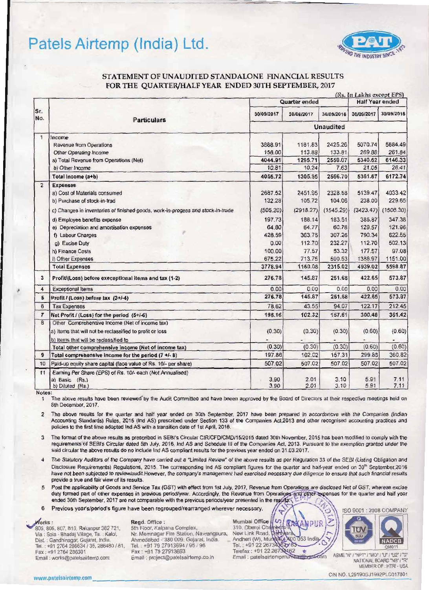## Patels Airtemp (India) Ltd.



### STATEMENT OF UNAUDITED STANDALONE FINANCIAL RESULTS FOR THE QUARTER/HALF YEAR ENDED 30TH SEPTEMBER, 2017

|                |                                                                                                 |                  | (Rs. In Lakhs except EPS) |              |                        |              |
|----------------|-------------------------------------------------------------------------------------------------|------------------|---------------------------|--------------|------------------------|--------------|
|                |                                                                                                 | Quarter ended    |                           |              | <b>Half Year ended</b> |              |
| Sr.<br>No.     | <b>Particulars</b>                                                                              | 30/09/2017       | 30/06/2017                | 30/09/2016   | 30/09/2017             | 30/09/2016   |
|                |                                                                                                 | <b>Unaudited</b> |                           |              |                        |              |
| 1              | Income                                                                                          |                  |                           |              |                        |              |
|                | <b>Revenue from Operations</b>                                                                  | 3888.91          | 1181.83                   | 2425.26      | 5070.74                | 5884.49      |
|                | Other Operating Income                                                                          | 156.00           | 113.88                    | 133.81       | 269.88                 | 261.84       |
|                | a) Total Revenue from Operations (Net)                                                          | 4044.91          | 1295.71                   | 2559.07      | 5340.62                | 6146.33      |
|                | b) Other Income                                                                                 | 10.81            | 10.24                     | 7.63         | 21.05                  | 26.41        |
|                | Total Income (a+b)                                                                              | 4055.72          | 1305.95                   | 2566.70      | 5361.67                | 6172.74      |
| $\overline{2}$ | <b>Expenses</b>                                                                                 |                  |                           |              |                        |              |
|                | a) Cost of Materials consumed                                                                   | 2687.52          | 2451.95                   | 2328.58      | 5139.47                | 4033.42      |
|                | b) Purchase of stock-in-trad                                                                    | 132.28           | 105.72                    | 104.06       | 238.00                 | 229.65       |
|                | c) Changes in inventories of finished goods, work-in-progess and stock-in-trade                 | (505.20)         | (2918.27)                 | (1545.29)    | (3423.47)              | (1506.30)    |
|                | d) Employee benefits expense                                                                    | 197.73           | 188.14                    | 183.51       | 385.87                 | 347.38       |
|                | e) Depreciation and amortisation expenses                                                       | 64.80            | 64.77                     | 60.78        | 129.57                 | 121.96       |
|                | f) Labour Charges                                                                               | 426.59           | 363.75                    | 307.26       | 790.34                 | 622.55       |
|                | g) Excise Duty                                                                                  | 0.00             | 112.70                    | 232.27       | 112.70                 | 502.13       |
|                | h) Finance Costs                                                                                | 100.00           | 77.57                     | 53.32        | 177.57                 | 97.08        |
|                | i) Other Expenses                                                                               | 675.22           | 713.75                    | 590.53       | 1388.97                | 1151.00      |
|                | <b>Total Expenses</b>                                                                           | 3778.94          | 1160.08                   | 2315.02      | 4939.02                | 5598.87      |
| 3              | Profit/(Loss) before execeptional items and tax (1-2)                                           | 276.78           | 145.87                    | 251.68       | 422.65                 | 573.87       |
| 4              | <b>Exceptional Items</b>                                                                        | 0.00             | 0.00                      | 0.00         | 0.00                   | 0.00         |
| 5              | Profit / (Loss) before tax (3+/-4)                                                              | 276.78           | 145.87                    | 251.68       | 422.65                 | 573.87       |
| 6              | <b>Tax Expenses</b>                                                                             | 78.62            | 43.55                     | 94.07        | 122.17                 | 212.45       |
| $\overline{7}$ | Net Profit / (Loss) for the period (5+/-6)                                                      | 198.16           | 102.32                    | 157.61       | 300.48                 | 361.42       |
| 8              | Other Comprehensive Income (Net of income tax)                                                  |                  |                           |              |                        |              |
|                | a) Items that will not be reclassified to profit or loss                                        | (0.30)           | (0.30)                    | (0.30)       | (0.60)                 | (0.60)       |
|                | b) Items that will be reclassified to                                                           |                  |                           |              |                        |              |
|                | Total other comprehensive income (Net of income tax)                                            | (0.30)           | (0.30)                    | (0.30)       | (0.60)                 | (0.60)       |
| 9              | Total comprehensive income for the period $(7 +1 - 8)$                                          | 197.86           | 102.02                    | 157.31       | 299.88                 | 360.82       |
| 10             | Paid-up equity share capital (face value of Rs. 10/- per share)                                 | 507.02           | 507.02                    | 507.02       | 507.02                 | 507.02       |
| 11             | Earning Per Share (EPS) of Rs. 10/- each (Not Annualised)<br>a) Basic (Rs.)<br>b) Diluted (Rs.) | 3.90<br>3.90     | 2.01<br>2.01              | 3.10<br>3.10 | 5.91<br>5.91           | 7.11<br>7.11 |

Notes:

The above results have been reviewed by the Audit Committee and have beeen approved by the Board of Directors at their respective meetings held on  $\mathbf{1}$ 8th December, 2017.

2 The above results for the quarter and half year ended on 30th September, 2017 have been prepared in accordancve with the Companies (Indian Accounting Standards) Rules, 2015 (Ind AS) prescribed under Section 133 of the Companies Act, 2013 and other recognised accounting practices and policies to the first time adopted Ind AS with a transition date of 1st April, 2016.

3 The format of the above results as prescribed in SEBI's Circular CIR/CFD/CMD/15/2015 dated 30th November, 2015 has been modified to comply with the requirements of SEBI's Circular dated 5th July, 2016, Ind AS and Schedule III of the Companies Act, 2013. Pursuant to the exemption granted under the said circular the above results do no include Ind AS compliant results for the previous year ended on 31.03.2017.

4 The Statutory Auditors of the Company have carried out a "Limited Review" of the above results as per Regulation 33 of the SEBI (Listing Obligation and Disclosure Requirements) Regulations, 2015. The corresponding Ind AS compliant figures for the quarter and half-year ended on 30<sup>th</sup> September, 2016 have not been subjected to review/audit.However, the company's management had exercised necessary due diligence to ensure that such financial results provide a true and fair view of its results.

Post the applicability of Goods and Service Tax (GST) with effect from 1st July, 2017, Revenue from Operations are disclosed Net of GST, whereas excise 5 duty formed part of other expenses in previous period/year. Accordingly, the Revenue from Operations and other expenses for the quarter and half year ended 30th September, 2017 are not comparable with the previous periods/year presented in the results

 $6\overline{6}$ Previous year's/period's figure have been regrouped/rearranged wherever necessary.

Works:

805, 806, 807, 810, Rakanpur 382 721, Via : Sola - Bhadaj Village, Ta. : Kalol, Dist. : Gandhinagar, Gujarat, India. Tel.: +91 2764 286634 / 35, 286480 / 81, Fax: +91 2764 286301 Email: works@patelsairtemp.com

Regd. Office :

5th Floor, Kalpana Complex, Nr. Memnagar Fire Station, Navrangpura, Ahmedabad - 380 009. Gujarat, India. Tel.: +91 79 27913694 / 95 / 96 Fax: +91 79 27913693 Email: project@patelsairtemp.co.in

Mumbai Office  $\boldsymbol{U}$ 310, Oberoi Chambers-IV<br>New Link Road, patrixara Andheri (W), Mur 053 Indi Tel.: +91 22 26734 62 Telefax: +91 22 26732462 ÷

Email : patelsairtempmu



ASME "N" / "NPT" / "MO" / "U" / "U2" / "S" NATIONAL BOARD "NB" MEMBER OF: HTRI-USA

CIN NO. L29190GJ1992PLC017801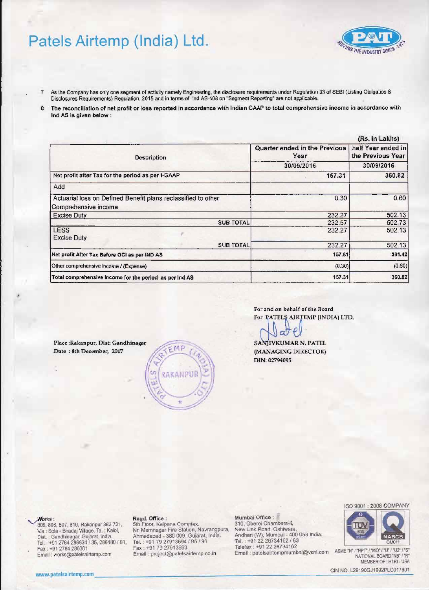## Patels Airtemp (India) Ltd.

 $\overline{z}$ 

- As the Company has only one segment of activity namely Engineering, the disclosure requirements under Regulation 33 of SEBI (Listing Obligatios & Disclosures Requirements) Regulation, 2015 and in terms of Ind AS-108 on "Segment Reporting" are not applicable.
- The reconciliation of net profit or loss reported in accordance with Indian GAAP to total comprehensive income in accordance with 8 Ind AS is given below :

| (Rs. in Lakhs)                               |                                                       |  |  |  |  |
|----------------------------------------------|-------------------------------------------------------|--|--|--|--|
| <b>Quarter ended in the Previous</b><br>Year | half Year ended in<br>the Previous Year<br>30/09/2016 |  |  |  |  |
| 30/09/2016                                   |                                                       |  |  |  |  |
| 157.31                                       | 360.82                                                |  |  |  |  |
|                                              |                                                       |  |  |  |  |
| 0.30                                         | 0.60                                                  |  |  |  |  |
| 232.27                                       | 502.13                                                |  |  |  |  |
| 232.57                                       | 502.73                                                |  |  |  |  |
| 232.27                                       | 502.13                                                |  |  |  |  |
| 232.27                                       | 502.13                                                |  |  |  |  |
| 157.61                                       | 361.42                                                |  |  |  |  |
| (0.30)                                       | (0.60)                                                |  |  |  |  |
| 157.31                                       | 360.82                                                |  |  |  |  |
|                                              |                                                       |  |  |  |  |

For and on behalf of the Board For PATELS AIRTEMP (INDIA) LTD.

SANJIVKUMAR N. PATEL (MANAGING DIRECTOR) DIN: 02794095

Place: Rakanpur, Dist: Gandhinagar Date: 8th December, 2017

#### Norks :

805, 806, 807, 810, Rakanpur 382 721, Via : Sola - Bhadaj Village, Ta. : Kalol, Dist. : Gandhinagar, Gujarat, India. Tel.: +91 2764 286634 / 35, 286480 / 81, Fax: +91 2764 286301 Email: works@patelsairtemp.com

#### Regd. Office :

1981<br>Sth Floor, Kalpana Complex,<br>Nr. Memnagar Fire Station, Navrangpura,<br>Ahmedabad - 380 009. Gujarat, India.<br>Tel.: +91 79 27913694 / 95 / 96 Fax: +91 79 27913693 Email : project@patelsairtemp.co.in

MO

RAKANPUR

#### Mumbai Office :

310, Oberoi Chambers-II, New Link Road, Oshiwara, Andheri (W), Mumbai - 400 053 India. Tel.: +91 22 26734162 / 63 Telefax: +91 22 26734162 Email : patelsairtempmumbai@vsnl.com



**VG THE INDUSTRY SINCE** 



ASME "N" / "NPT" / "MO" / "U" / "U2" / "S" NATIONAL BOARD "NB" / "R" MEMBER OF : HTRI - USA

CIN NO. L29190GJ1992PLC017801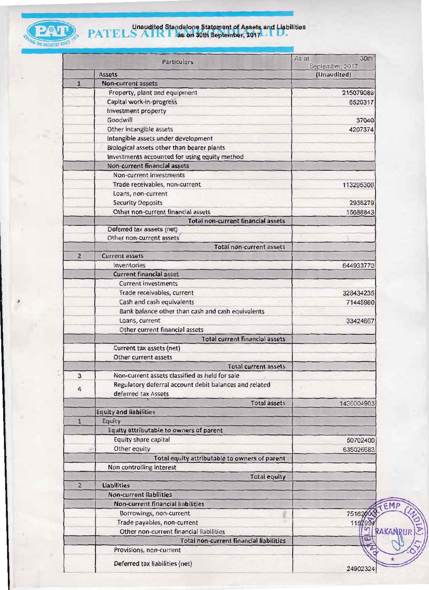

## **PATELS AIRT as on 30th September, 2017 LIFT.**

|                | <b>Particulars</b>                                     | 30th<br>As at<br>September, 2017 |
|----------------|--------------------------------------------------------|----------------------------------|
|                | <b>Assets</b>                                          | (Unaudited)                      |
| $\mathbf{1}$   | <b>Non-current assets</b>                              |                                  |
|                | Property, plant and equipment                          | 215079089                        |
|                | Capital work-in-progress                               | 6520317                          |
|                | Investment property<br>Goodwill                        |                                  |
|                |                                                        | 37040                            |
|                | Other intangible assets                                | 4207374                          |
|                | Intangible assets under development                    |                                  |
|                | Biological assets other than bearer plants             |                                  |
|                | Investments accounted for using equity method          |                                  |
|                | Non-current financial assets                           |                                  |
|                | Non-current investments                                |                                  |
|                | Trade receivables, non-current                         | 113295309                        |
|                | Loans, non-current                                     |                                  |
|                | <b>Security Deposits</b>                               | 2938279                          |
|                | Other non-current financial assets                     | 15688843                         |
|                | <b>Total non-current financial assets</b>              |                                  |
|                | Deferred tax assets (net)                              |                                  |
|                | Other non-current assets                               |                                  |
|                | Total non-current assets                               |                                  |
| 2 <sub>1</sub> | <b>Current assets</b>                                  |                                  |
|                | Inventories                                            | 644933770                        |
|                | <b>Current financial asset</b>                         |                                  |
|                | <b>Current investments</b>                             |                                  |
|                | Trade receivables, current                             | 328434235                        |
|                | Cash and cash equivalents                              | 71445980                         |
|                | Bank balance other than cash and cash equivalents      |                                  |
|                | Loans, current                                         | 33424667                         |
|                | Other current financial assets                         |                                  |
|                | <b>Total current financial assets</b>                  |                                  |
|                | Current tax assets (net)                               |                                  |
|                | Other current assets                                   |                                  |
|                | <b>Total current assets</b>                            |                                  |
| 3              | Non-current assets classified as held for sale         |                                  |
|                | Regulatory deferral account debit balances and related |                                  |
| 4              | deferred tax Assets                                    |                                  |
|                | <b>Total assets</b>                                    | 1436004903                       |
|                | <b>Equity and liabilities</b>                          |                                  |
| $\mathbf{1}$   | Equity                                                 |                                  |
|                | Equity attributable to owners of parent                |                                  |
|                | Equity share capital                                   |                                  |
|                | Other equity                                           | 50702400                         |
|                |                                                        | 635026683                        |
|                | Total equity attributable to owners of parent          |                                  |
|                | Non controlling interest                               |                                  |
|                | <b>Total equity</b>                                    |                                  |
| $\overline{2}$ | <b>Liabilities</b>                                     |                                  |
|                | <b>Non-current liabilities</b>                         |                                  |
|                | <b>Non-current financial liabilities</b>               |                                  |
|                | Borrowings, non-current                                | 751620                           |
|                | Trade payables, non-current                            | 1152                             |
|                | Other non-current financial liabilities                | RAKA                             |
|                | <b>Total non-current financial liabilities</b>         | m                                |
|                | Provisions, non-current                                |                                  |
|                | Deferred tax liabilities (net)                         |                                  |
|                |                                                        | 24902324                         |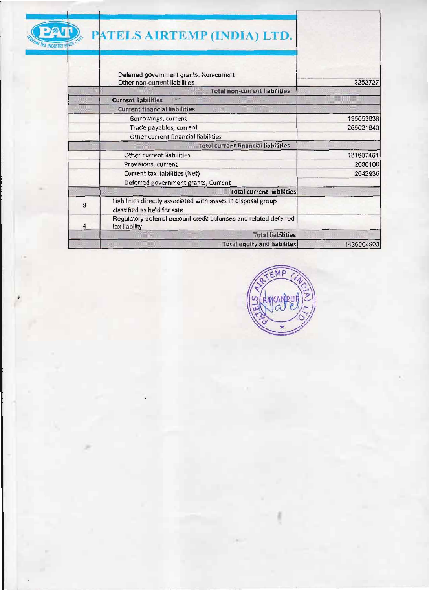

,

# **PAUL** PATELS AIRTEMP (INDIA) LTD.

|   | Deferred government grants, Non-current<br>Other non-current liabilities                     | 3252727    |
|---|----------------------------------------------------------------------------------------------|------------|
|   | <b>Total non-current liabilities</b>                                                         |            |
|   | <b>Current liabilities</b>                                                                   |            |
|   | <b>Current financial liabilities</b>                                                         |            |
|   | Borrowings, current                                                                          | 195053638  |
|   | Trade payables, current                                                                      | 265021640  |
|   | Other current financial liabilities                                                          |            |
|   | <b>Total current financial liabilities</b>                                                   |            |
|   | Other current liabilities                                                                    | 181607461  |
|   | Provisions, current                                                                          | 2080100    |
|   | Current tax liabilities (Net)                                                                | 2042936    |
|   | Deferred government grants, Current                                                          |            |
|   | <b>Total current liabilities</b>                                                             |            |
| 3 | Liabilities directly associated with assets in disposal group<br>classified as held for sale |            |
| 4 | Regulatory deferral account credit balances and related deferred<br>tax liability            |            |
|   | <b>Total liabilities</b>                                                                     |            |
|   | <b>Total equity and liabilites</b>                                                           | 1436004903 |